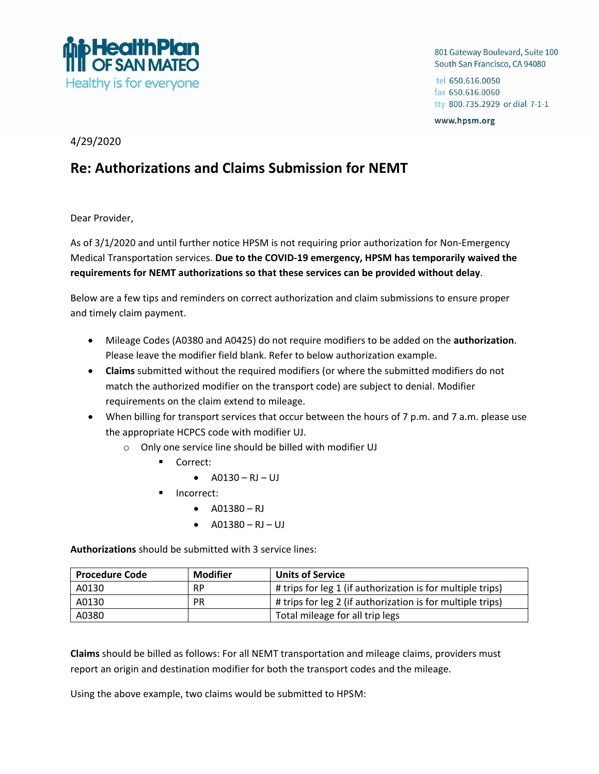

801 Gateway Boulevard, Suite 100 South San Francisco, CA 94080

tel 650.616.0050 fax 650.616.0060 tty 800.735.2929 or dial 7-1-1

www.hpsm.org

4/29/2020

## **Re: Authorizations and Claims Submission for NEMT**

Dear Provider,

As of 3/1/2020 and until further notice HPSM is not requiring prior authorization for Non-Emergency Medical Transportation services. **Due to the COVID-19 emergency, HPSM has temporarily waived the requirements for NEMT authorizations so that these services can be provided without delay**.

Below are a few tips and reminders on correct authorization and claim submissions to ensure proper and timely claim payment.

- Mileage Codes (A0380 and A0425) do not require modifiers to be added on the **authorization**. Please leave the modifier field blank. Refer to below authorization example.
- **Claims** submitted without the required modifiers (or where the submitted modifiers do not match the authorized modifier on the transport code) are subject to denial. Modifier requirements on the claim extend to mileage.
- When billing for transport services that occur between the hours of 7 p.m. and 7 a.m. please use the appropriate HCPCS code with modifier UJ.
	- o Only one service line should be billed with modifier UJ
		- Correct:
			- $AO130 RJ UJ$
		- Incorrect:
			- $AO1380 RJ$
			- $A01380 R1 U$

**Authorizations** should be submitted with 3 service lines:

| <b>Procedure Code</b> | Modifier  | <b>Units of Service</b>                                    |
|-----------------------|-----------|------------------------------------------------------------|
| A0130                 | <b>RP</b> | # trips for leg 1 (if authorization is for multiple trips) |
| A0130                 | PR        | # trips for leg 2 (if authorization is for multiple trips) |
| A0380                 |           | Total mileage for all trip legs                            |

**Claims** should be billed as follows: For all NEMT transportation and mileage claims, providers must report an origin and destination modifier for both the transport codes and the mileage.

Using the above example, two claims would be submitted to HPSM: